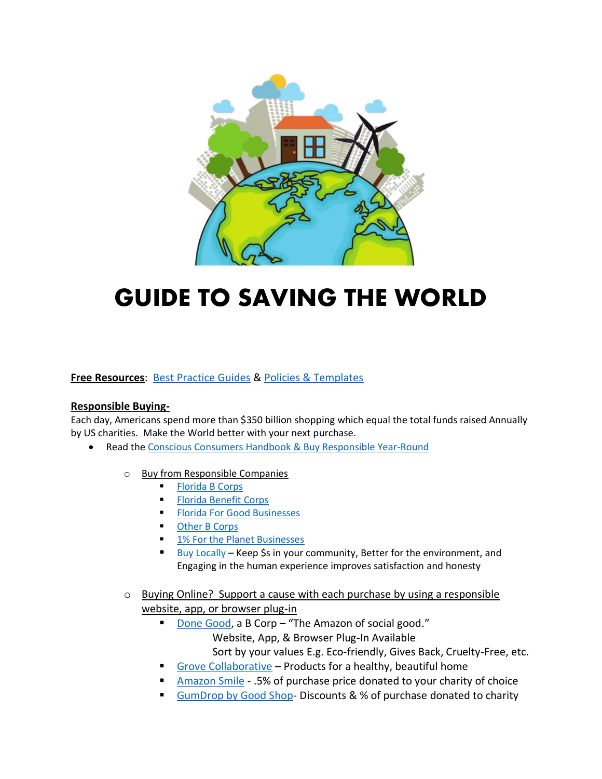

# **GUIDE TO SAVING THE WORLD**

#### **Free Resources**: [Best Practice Guides](https://drive.google.com/drive/folders/1h31ZZv5WGMmhsFRCfOgPHwM9CeH2sjsd) & [Policies & Templates](https://drive.google.com/drive/folders/1BYBCuutOb5bAoIQdNcDnKuzFUt515qYr)

#### **Responsible Buying-**

Each day, Americans spend more than \$350 billion shopping which equal the total funds raised Annually by US charities. Make the World better with your next purchase.

- Read th[e Conscious Consumers Handbook](https://www.roundpegcomm.com/flipbook/index.html?page=1) & Buy Responsible Year-Round
	- o Buy from Responsible Companies
		- **[Florida B Corps](https://floridaforgood.com/directory/?_certifications=b_corp)**
		- **[Florida Benefit Corps](https://floridaforgood.com/directory/?_certifications=benefit_corp)**
		- **[Florida For Good Businesses](https://floridaforgood.com/directory/)**
		- [Other B Corps](https://bcorporation.net/directory)
		- [1% For the Planet Businesses](http://www.onepercentfortheplanet.org/who-we-are/business-directory)
		- [Buy Locally](https://www.chamberofcommerce.com/florida) Keep \$s in your community, Better for the environment, and Engaging in the human experience improves satisfaction and honesty
	- o Buying Online? Support a cause with each purchase by using a responsible website, app, or browser plug-in
		- [Done Good,](https://donegood.co/) a B Corp "The Amazon of social good." Website, App, & Browser Plug-In Available Sort by your values E.g. Eco-friendly, Gives Back, Cruelty-Free, etc.
		- [Grove Collaborative](https://www.grove.co/s/about) Products for a healthy, beautiful home
		- [Amazon Smile](https://smile.amazon.com/) .5% of purchase price donated to your charity of choice
		- [GumDrop by Good Shop-](https://www.goodshop.com/gumdrop.com)Discounts & % of purchase donated to charity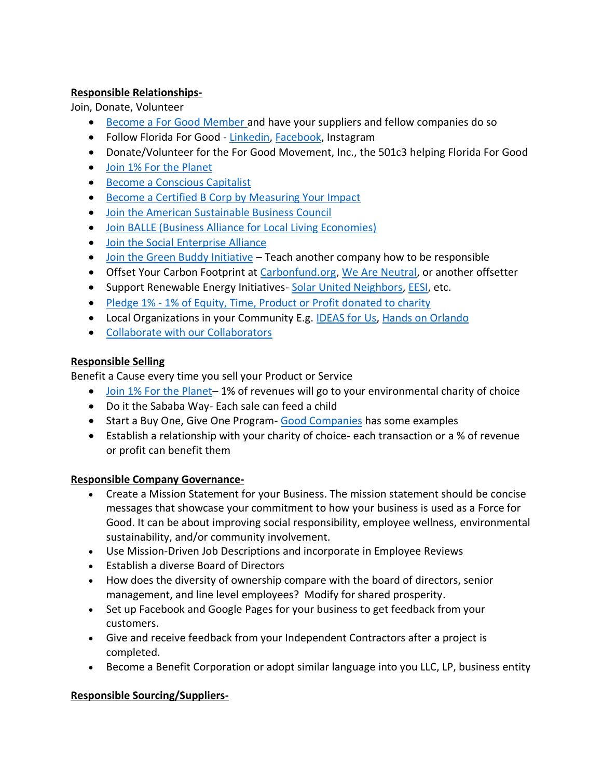## **Responsible Relationships-**

Join, Donate, Volunteer

- [Become a For Good Member](https://floridaforgood.com/join/) and have your suppliers and fellow companies do so
- Follow Florida For Good [Linkedin,](https://www.linkedin.com/company/floridaforgood/) [Facebook,](https://www.facebook.com/Florida-For-Good-171692376944432/) Instagram
- Donate/Volunteer for the For Good Movement, Inc., the 501c3 helping Florida For Good
- [Join 1% For the Planet](https://www.onepercentfortheplanet.org/join)
- [Become a Conscious Capitalist](https://www.consciouscapitalism.org/we-are-a-global-community)
- [Become a Certified B Corp](https://app.bimpactassessment.net/get-started/partner/floridaforgood) by Measuring Your Impact
- [Join the American Sustainable Business Council](http://asbcouncil.org/)
- Join BALLE [\(Business Alliance for Local Living Economies\)](https://bealocalist.org/stand-with-us/)
- [Join the Social Enterprise Alliance](https://socialenterprise.us/membership/)
- [Join the Green Buddy Initiative](http://greenbuddyinitiative.org/) Teach another company how to be responsible
- Offset Your Carbon Footprint at [Carbonfund.org,](http://www.carbonfund.org/) [We Are Neutral,](https://www.weareneutral.com/#intro) or another offsetter
- Support Renewable Energy Initiatives- [Solar United Neighbors,](https://www.solarunitedneighbors.org/florida/) [EESI,](https://www.eesi.org/) etc.
- Pledge 1% [1% of Equity, Time, Product or Profit](https://pledge1percent.org/) donated to charity
- Local Organizations in your Community E.g. [IDEAS for Us,](https://www.ideasforus.org/) [Hands on Orlando](https://www.handsonorlando.com/)
- [Collaborate with our Collaborators](https://floridaforgood.com/collaborators/)

## **Responsible Selling**

Benefit a Cause every time you sell your Product or Service

- [Join 1% For the Planet](https://www.onepercentfortheplanet.org/join)-1% of revenues will go to your environmental charity of choice
- Do it the Sababa Way- Each sale can feed a child
- Start a Buy One, Give One Program- [Good Companies](http://goodcompanies.com/companies/?values=buyonegiveone) has some examples
- Establish a relationship with your charity of choice- each transaction or a % of revenue or profit can benefit them

## **Responsible Company Governance-**

- Create a Mission Statement for your Business. The mission statement should be concise messages that showcase your commitment to how your business is used as a Force for Good. It can be about improving social responsibility, employee wellness, environmental sustainability, and/or community involvement.
- Use Mission-Driven Job Descriptions and incorporate in Employee Reviews
- Establish a diverse Board of Directors
- How does the diversity of ownership compare with the board of directors, senior management, and line level employees? Modify for shared prosperity.
- Set up Facebook and Google Pages for your business to get feedback from your customers.
- Give and receive feedback from your Independent Contractors after a project is completed.
- Become a Benefit Corporation or adopt similar language into you LLC, LP, business entity

## **Responsible Sourcing/Suppliers-**